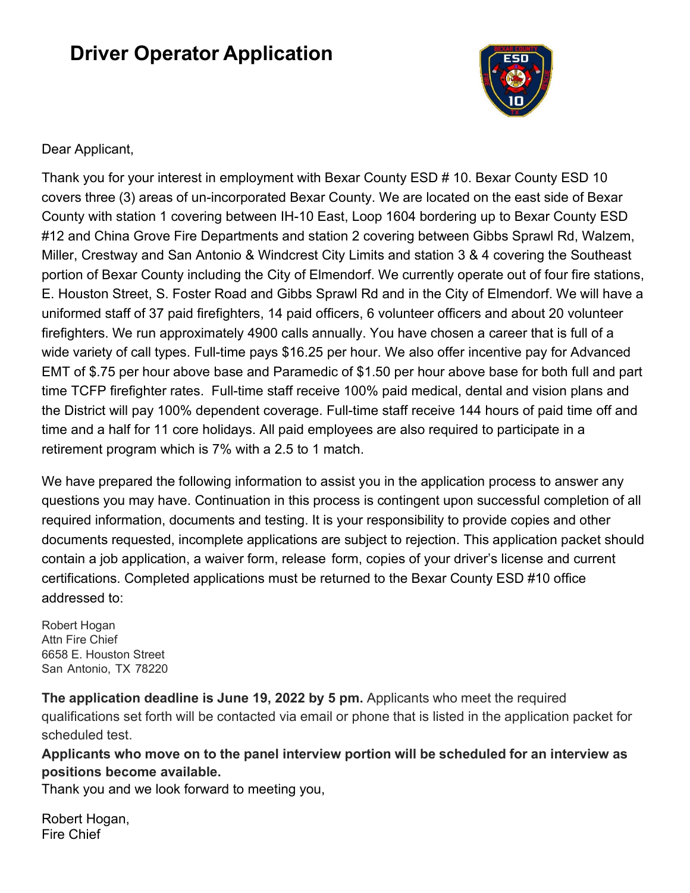# **Driver Operator Application**



## Dear Applicant,

Thank you for your interest in employment with Bexar County ESD # 10. Bexar County ESD 10 covers three (3) areas of un-incorporated Bexar County. We are located on the east side of Bexar County with station 1 covering between IH-10 East, Loop 1604 bordering up to Bexar County ESD #12 and China Grove Fire Departments and station 2 covering between Gibbs Sprawl Rd, Walzem, Miller, Crestway and San Antonio & Windcrest City Limits and station 3 & 4 covering the Southeast portion of Bexar County including the City of Elmendorf. We currently operate out of four fire stations, E. Houston Street, S. Foster Road and Gibbs Sprawl Rd and in the City of Elmendorf. We will have a uniformed staff of 37 paid firefighters, 14 paid officers, 6 volunteer officers and about 20 volunteer firefighters. We run approximately 4900 calls annually. You have chosen a career that is full of a wide variety of call types. Full-time pays \$16.25 per hour. We also offer incentive pay for Advanced EMT of \$.75 per hour above base and Paramedic of \$1.50 per hour above base for both full and part time TCFP firefighter rates. Full-time staff receive 100% paid medical, dental and vision plans and the District will pay 100% dependent coverage. Full-time staff receive 144 hours of paid time off and time and a half for 11 core holidays. All paid employees are also required to participate in a retirement program which is 7% with a 2.5 to 1 match.

We have prepared the following information to assist you in the application process to answer any questions you may have. Continuation in this process is contingent upon successful completion of all required information, documents and testing. It is your responsibility to provide copies and other documents requested, incomplete applications are subject to rejection. This application packet should contain a job application, a waiver form, release form, copies of your driver's license and current certifications. Completed applications must be returned to the Bexar County ESD #10 office addressed to:

Robert Hogan Attn Fire Chief 6658 E. Houston Street San Antonio, TX 78220

**The application deadline is June 19, 2022 by 5 pm.** Applicants who meet the required qualifications set forth will be contacted via email or phone that is listed in the application packet for scheduled test.

**Applicants who move on to the panel interview portion will be scheduled for an interview as positions become available.**

Thank you and we look forward to meeting you,

Robert Hogan, Fire Chief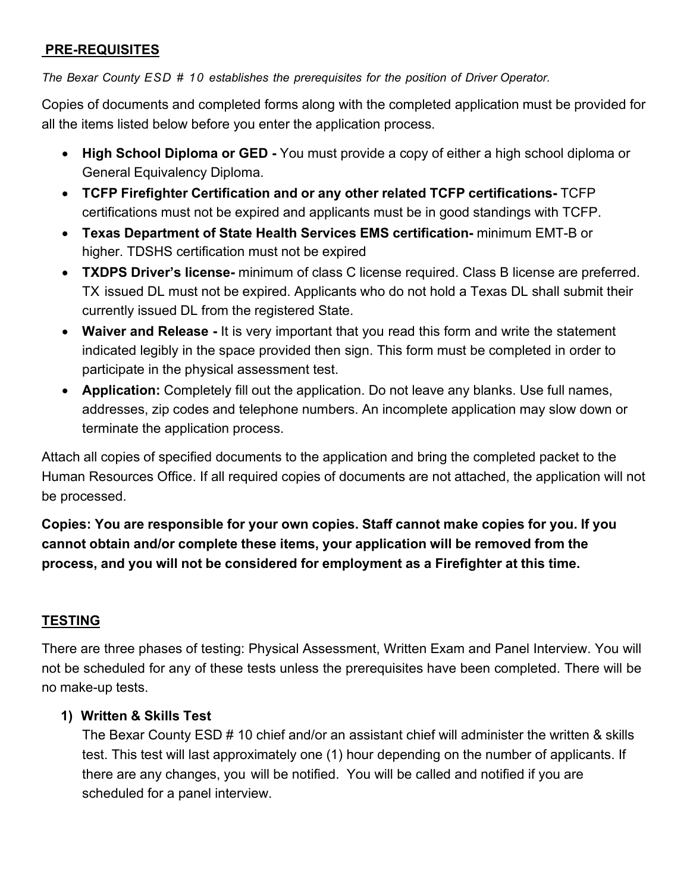## **PRE-REQUISITES**

*The Bexar County ESD # 10 establishes the prerequisites for the position of Driver Operator.*

Copies of documents and completed forms along with the completed application must be provided for all the items listed below before you enter the application process.

- **High School Diploma or GED** You must provide a copy of either a high school diploma or General Equivalency Diploma.
- **TCFP Firefighter Certification and or any other related TCFP certifications-** TCFP certifications must not be expired and applicants must be in good standings with TCFP.
- **Texas Department of State Health Services EMS certification-** minimum EMT-B or higher. TDSHS certification must not be expired
- **TXDPS Driver's license-** minimum of class C license required. Class B license are preferred. TX issued DL must not be expired. Applicants who do not hold a Texas DL shall submit their currently issued DL from the registered State.
- **Waiver and Release** It is very important that you read this form and write the statement indicated legibly in the space provided then sign. This form must be completed in order to participate in the physical assessment test.
- **Application:** Completely fill out the application. Do not leave any blanks. Use full names, addresses, zip codes and telephone numbers. An incomplete application may slow down or terminate the application process.

Attach all copies of specified documents to the application and bring the completed packet to the Human Resources Office. If all required copies of documents are not attached, the application will not be processed.

**Copies: You are responsible for your own copies. Staff cannot make copies for you. If you cannot obtain and/or complete these items, your application will be removed from the process, and you will not be considered for employment as a Firefighter at this time.**

## **TESTING**

There are three phases of testing: Physical Assessment, Written Exam and Panel Interview. You will not be scheduled for any of these tests unless the prerequisites have been completed. There will be no make-up tests.

## **1) Written & Skills Test**

The Bexar County ESD # 10 chief and/or an assistant chief will administer the written & skills test. This test will last approximately one (1) hour depending on the number of applicants. If there are any changes, you will be notified. You will be called and notified if you are scheduled for a panel interview.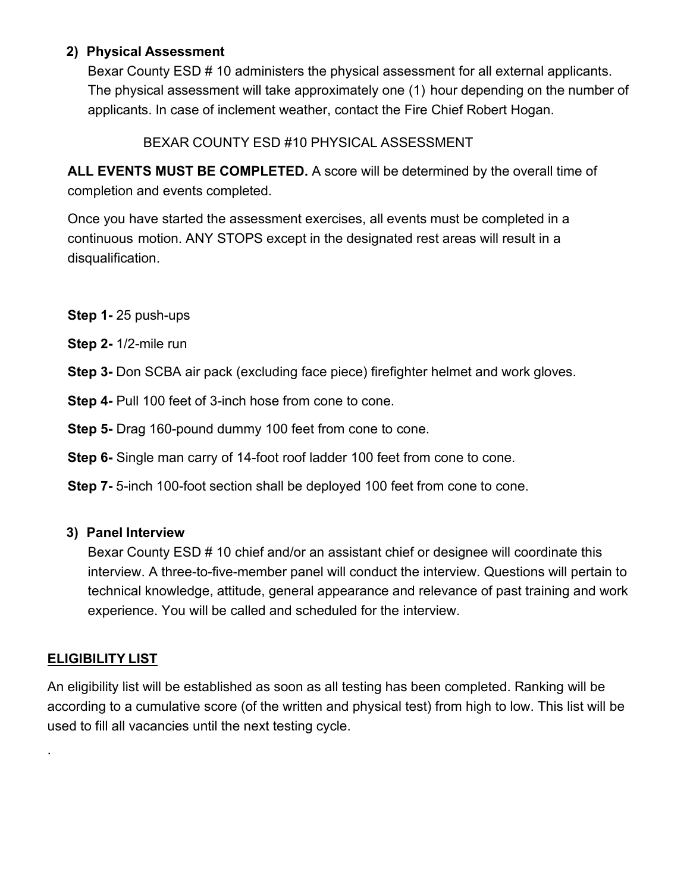## **2) Physical Assessment**

Bexar County ESD # 10 administers the physical assessment for all external applicants. The physical assessment will take approximately one (1) hour depending on the number of applicants. In case of inclement weather, contact the Fire Chief Robert Hogan.

## BEXAR COUNTY ESD #10 PHYSICAL ASSESSMENT

**ALL EVENTS MUST BE COMPLETED.** A score will be determined by the overall time of completion and events completed.

Once you have started the assessment exercises, all events must be completed in a continuous motion. ANY STOPS except in the designated rest areas will result in a disqualification.

- **Step 1-** 25 push-ups
- **Step 2-** 1/2-mile run
- **Step 3-** Don SCBA air pack (excluding face piece) firefighter helmet and work gloves.
- **Step 4- Pull 100 feet of 3-inch hose from cone to cone.**
- **Step 5-** Drag 160-pound dummy 100 feet from cone to cone.
- **Step 6-** Single man carry of 14-foot roof ladder 100 feet from cone to cone.
- **Step 7-** 5-inch 100-foot section shall be deployed 100 feet from cone to cone.

## **3) Panel Interview**

Bexar County ESD # 10 chief and/or an assistant chief or designee will coordinate this interview. A three-to-five-member panel will conduct the interview. Questions will pertain to technical knowledge, attitude, general appearance and relevance of past training and work experience. You will be called and scheduled for the interview.

## **ELIGIBILITY LIST**

.

An eligibility list will be established as soon as all testing has been completed. Ranking will be according to a cumulative score (of the written and physical test) from high to low. This list will be used to fill all vacancies until the next testing cycle.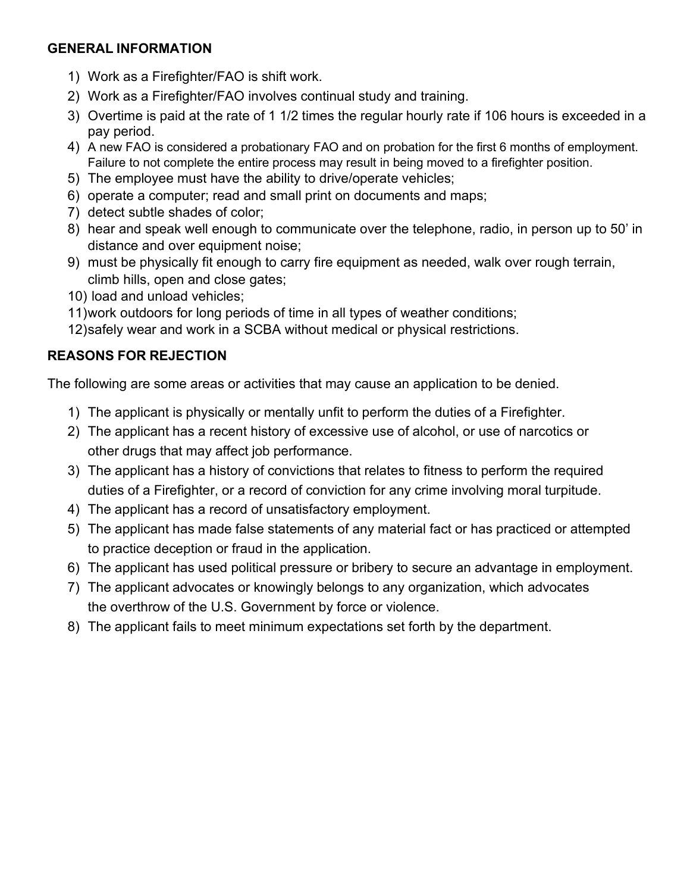## **GENERAL INFORMATION**

- 1) Work as a Firefighter/FAO is shift work.
- 2) Work as a Firefighter/FAO involves continual study and training.
- 3) Overtime is paid at the rate of 1 1/2 times the regular hourly rate if 106 hours is exceeded in a pay period.
- 4) A new FAO is considered a probationary FAO and on probation for the first 6 months of employment. Failure to not complete the entire process may result in being moved to a firefighter position.
- 5) The employee must have the ability to drive/operate vehicles;
- 6) operate a computer; read and small print on documents and maps;
- 7) detect subtle shades of color;
- 8) hear and speak well enough to communicate over the telephone, radio, in person up to 50' in distance and over equipment noise;
- 9) must be physically fit enough to carry fire equipment as needed, walk over rough terrain, climb hills, open and close gates;
- 10) load and unload vehicles;
- 11)work outdoors for long periods of time in all types of weather conditions;
- 12)safely wear and work in a SCBA without medical or physical restrictions.

## **REASONS FOR REJECTION**

The following are some areas or activities that may cause an application to be denied.

- 1) The applicant is physically or mentally unfit to perform the duties of a Firefighter.
- 2) The applicant has a recent history of excessive use of alcohol, or use of narcotics or other drugs that may affect job performance.
- 3) The applicant has a history of convictions that relates to fitness to perform the required duties of a Firefighter, or a record of conviction for any crime involving moral turpitude.
- 4) The applicant has a record of unsatisfactory employment.
- 5) The applicant has made false statements of any material fact or has practiced or attempted to practice deception or fraud in the application.
- 6) The applicant has used political pressure or bribery to secure an advantage in employment.
- 7) The applicant advocates or knowingly belongs to any organization, which advocates the overthrow of the U.S. Government by force or violence.
- 8) The applicant fails to meet minimum expectations set forth by the department.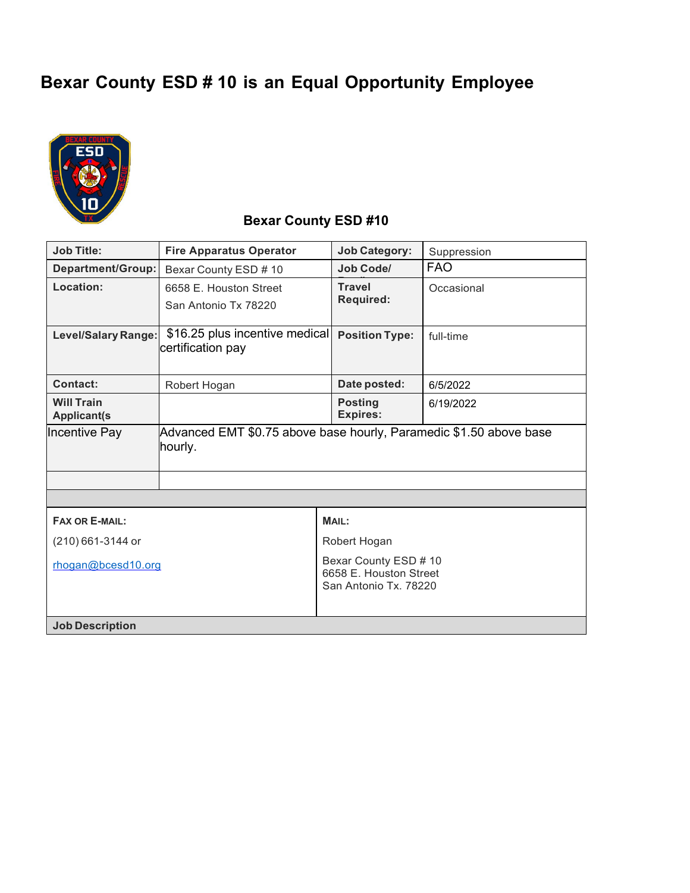# **Bexar County ESD # 10 is an Equal Opportunity Employee**



## **Bexar County ESD #10**

| <b>Job Title:</b>                       | <b>Fire Apparatus Operator</b>                                                | <b>Job Category:</b>                                                     | Suppression |  |  |
|-----------------------------------------|-------------------------------------------------------------------------------|--------------------------------------------------------------------------|-------------|--|--|
| Department/Group:                       | Bexar County ESD # 10                                                         | Job Code/                                                                | <b>FAO</b>  |  |  |
| Location:                               | 6658 E. Houston Street<br>San Antonio Tx 78220                                | <b>Travel</b><br><b>Required:</b>                                        | Occasional  |  |  |
| <b>Level/Salary Range:</b>              | \$16.25 plus incentive medical<br>certification pay                           | <b>Position Type:</b>                                                    | full-time   |  |  |
| <b>Contact:</b>                         | Robert Hogan                                                                  | Date posted:                                                             | 6/5/2022    |  |  |
| <b>Will Train</b><br><b>Applicant(s</b> |                                                                               | <b>Posting</b><br><b>Expires:</b>                                        | 6/19/2022   |  |  |
| Incentive Pay                           | Advanced EMT \$0.75 above base hourly, Paramedic \$1.50 above base<br>hourly. |                                                                          |             |  |  |
|                                         |                                                                               |                                                                          |             |  |  |
|                                         |                                                                               |                                                                          |             |  |  |
| <b>FAX OR E-MAIL:</b>                   |                                                                               | <b>MAIL:</b>                                                             |             |  |  |
| (210) 661-3144 or                       |                                                                               | Robert Hogan                                                             |             |  |  |
| rhogan@bcesd10.org                      |                                                                               | Bexar County ESD # 10<br>6658 E. Houston Street<br>San Antonio Tx, 78220 |             |  |  |
| <b>Job Description</b>                  |                                                                               |                                                                          |             |  |  |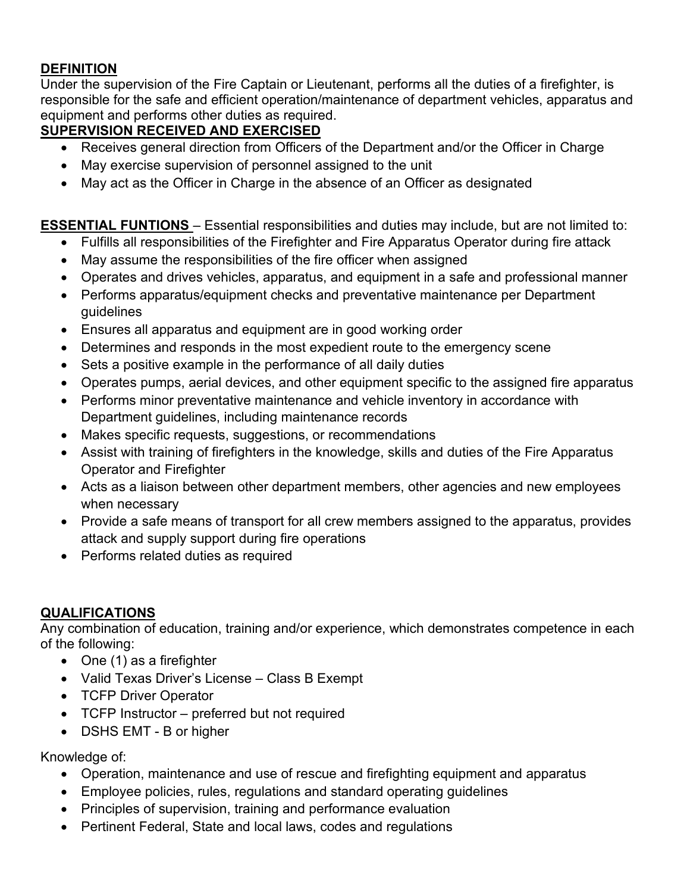## **DEFINITION**

Under the supervision of the Fire Captain or Lieutenant, performs all the duties of a firefighter, is responsible for the safe and efficient operation/maintenance of department vehicles, apparatus and equipment and performs other duties as required.

## **SUPERVISION RECEIVED AND EXERCISED**

- Receives general direction from Officers of the Department and/or the Officer in Charge
- May exercise supervision of personnel assigned to the unit
- May act as the Officer in Charge in the absence of an Officer as designated

## **ESSENTIAL FUNTIONS** – Essential responsibilities and duties may include, but are not limited to:

- Fulfills all responsibilities of the Firefighter and Fire Apparatus Operator during fire attack
- May assume the responsibilities of the fire officer when assigned
- Operates and drives vehicles, apparatus, and equipment in a safe and professional manner
- Performs apparatus/equipment checks and preventative maintenance per Department guidelines
- Ensures all apparatus and equipment are in good working order
- Determines and responds in the most expedient route to the emergency scene
- Sets a positive example in the performance of all daily duties
- Operates pumps, aerial devices, and other equipment specific to the assigned fire apparatus
- Performs minor preventative maintenance and vehicle inventory in accordance with Department guidelines, including maintenance records
- Makes specific requests, suggestions, or recommendations
- Assist with training of firefighters in the knowledge, skills and duties of the Fire Apparatus Operator and Firefighter
- Acts as a liaison between other department members, other agencies and new employees when necessary
- Provide a safe means of transport for all crew members assigned to the apparatus, provides attack and supply support during fire operations
- Performs related duties as required

## **QUALIFICATIONS**

Any combination of education, training and/or experience, which demonstrates competence in each of the following:

- One (1) as a firefighter
- Valid Texas Driver's License Class B Exempt
- TCFP Driver Operator
- TCFP Instructor preferred but not required
- DSHS EMT B or higher

Knowledge of:

- Operation, maintenance and use of rescue and firefighting equipment and apparatus
- Employee policies, rules, regulations and standard operating guidelines
- Principles of supervision, training and performance evaluation
- Pertinent Federal, State and local laws, codes and regulations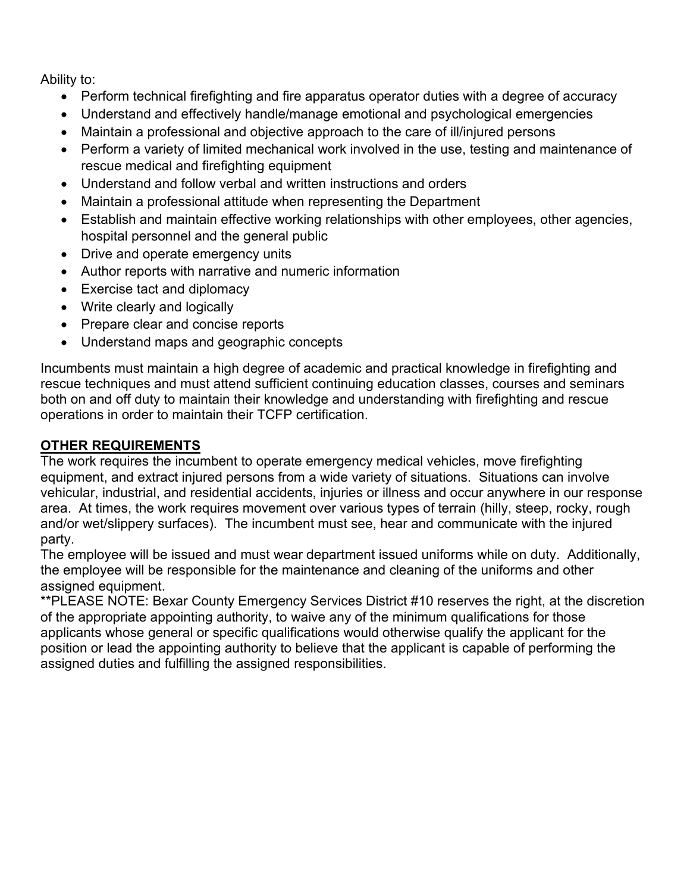Ability to:

- Perform technical firefighting and fire apparatus operator duties with a degree of accuracy
- Understand and effectively handle/manage emotional and psychological emergencies
- Maintain a professional and objective approach to the care of ill/injured persons
- Perform a variety of limited mechanical work involved in the use, testing and maintenance of rescue medical and firefighting equipment
- Understand and follow verbal and written instructions and orders
- Maintain a professional attitude when representing the Department
- Establish and maintain effective working relationships with other employees, other agencies, hospital personnel and the general public
- Drive and operate emergency units
- Author reports with narrative and numeric information
- Exercise tact and diplomacy
- Write clearly and logically
- Prepare clear and concise reports
- Understand maps and geographic concepts

Incumbents must maintain a high degree of academic and practical knowledge in firefighting and rescue techniques and must attend sufficient continuing education classes, courses and seminars both on and off duty to maintain their knowledge and understanding with firefighting and rescue operations in order to maintain their TCFP certification.

## **OTHER REQUIREMENTS**

The work requires the incumbent to operate emergency medical vehicles, move firefighting equipment, and extract injured persons from a wide variety of situations. Situations can involve vehicular, industrial, and residential accidents, injuries or illness and occur anywhere in our response area. At times, the work requires movement over various types of terrain (hilly, steep, rocky, rough and/or wet/slippery surfaces). The incumbent must see, hear and communicate with the injured party.

The employee will be issued and must wear department issued uniforms while on duty. Additionally, the employee will be responsible for the maintenance and cleaning of the uniforms and other assigned equipment.

\*\*PLEASE NOTE: Bexar County Emergency Services District #10 reserves the right, at the discretion of the appropriate appointing authority, to waive any of the minimum qualifications for those applicants whose general or specific qualifications would otherwise qualify the applicant for the position or lead the appointing authority to believe that the applicant is capable of performing the assigned duties and fulfilling the assigned responsibilities.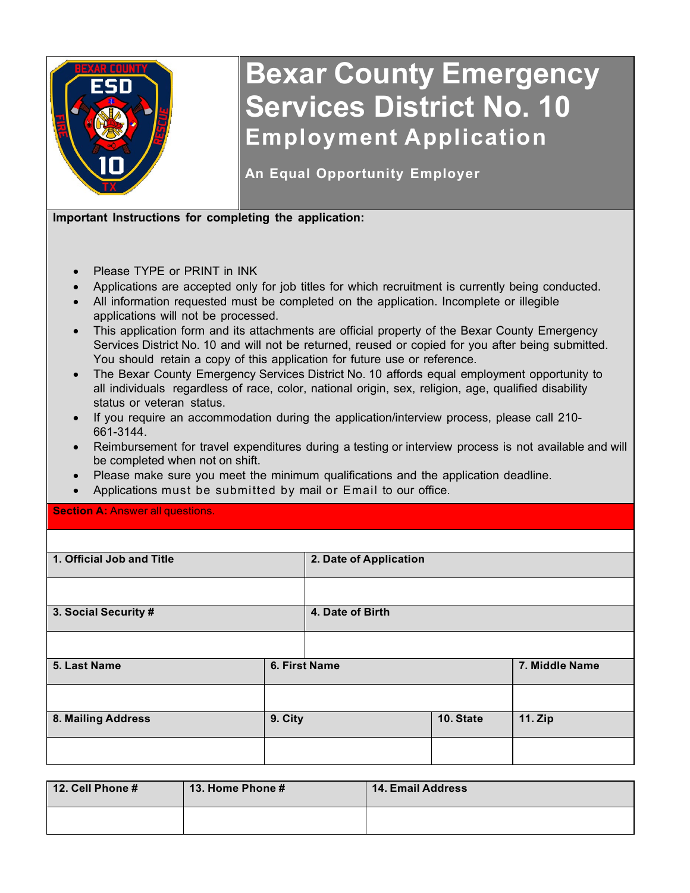

# **Bexar County Emergency Services District No. 10 Employment Application**

**An Equal Opportunity Employer**

**Important Instructions for completing the application:**

- Please TYPE or PRINT in INK
- Applications are accepted only for job titles for which recruitment is currently being conducted.
- All information requested must be completed on the application. Incomplete or illegible applications will not be processed.
- This application form and its attachments are official property of the Bexar County Emergency Services District No. 10 and will not be returned, reused or copied for you after being submitted. You should retain a copy of this application for future use or reference.
- The Bexar County Emergency Services District No. 10 affords equal employment opportunity to all individuals regardless of race, color, national origin, sex, religion, age, qualified disability status or veteran status.
- If you require an accommodation during the application/interview process, please call 210- 661-3144.
- Reimbursement for travel expenditures during a testing or interview process is not available and will be completed when not on shift.
- Please make sure you meet the minimum qualifications and the application deadline.
- Applications must be submitted by mail or Email to our office.

**Section A:** Answer all questions.

| 1. Official Job and Title |               | 2. Date of Application |           |                |  |
|---------------------------|---------------|------------------------|-----------|----------------|--|
|                           |               |                        |           |                |  |
| 3. Social Security #      |               | 4. Date of Birth       |           |                |  |
|                           |               |                        |           |                |  |
| 5. Last Name              | 6. First Name |                        |           | 7. Middle Name |  |
|                           |               |                        |           |                |  |
| 8. Mailing Address        | 9. City       |                        | 10. State | <b>11. Zip</b> |  |
|                           |               |                        |           |                |  |

| 12. Cell Phone # | <b>13. Home Phone #</b> | <b>14. Email Address</b> |
|------------------|-------------------------|--------------------------|
|                  |                         |                          |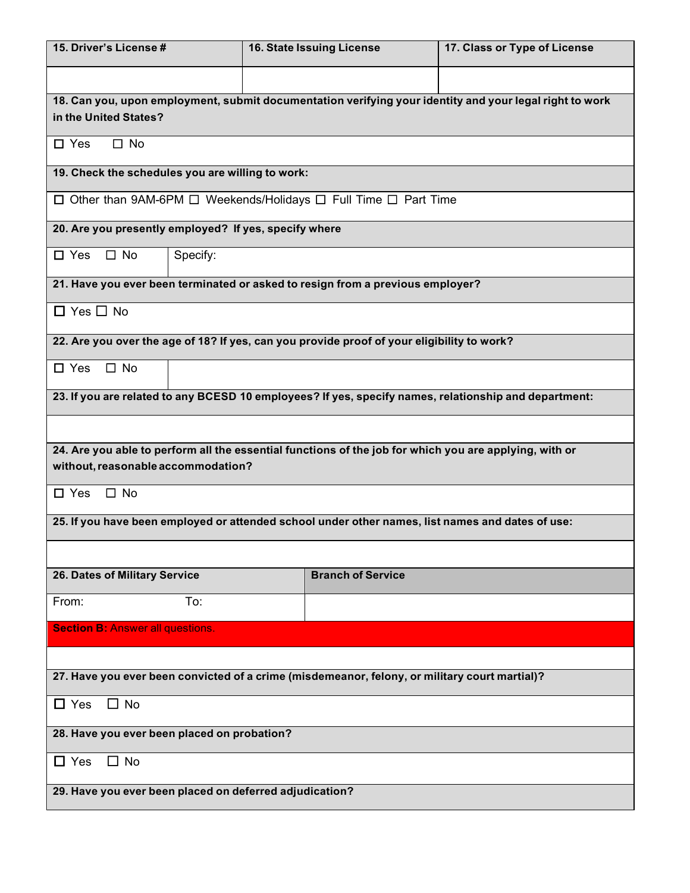| 15. Driver's License #                                                                           | 16. State Issuing License                                                                               | 17. Class or Type of License |  |  |  |  |  |  |
|--------------------------------------------------------------------------------------------------|---------------------------------------------------------------------------------------------------------|------------------------------|--|--|--|--|--|--|
|                                                                                                  |                                                                                                         |                              |  |  |  |  |  |  |
|                                                                                                  | 18. Can you, upon employment, submit documentation verifying your identity and your legal right to work |                              |  |  |  |  |  |  |
| in the United States?                                                                            |                                                                                                         |                              |  |  |  |  |  |  |
| $\Box$ Yes<br>$\Box$ No                                                                          |                                                                                                         |                              |  |  |  |  |  |  |
| 19. Check the schedules you are willing to work:                                                 |                                                                                                         |                              |  |  |  |  |  |  |
| □ Other than 9AM-6PM □ Weekends/Holidays □ Full Time □ Part Time                                 |                                                                                                         |                              |  |  |  |  |  |  |
| 20. Are you presently employed? If yes, specify where                                            |                                                                                                         |                              |  |  |  |  |  |  |
| Specify:<br>$\Box$ Yes<br>$\Box$ No                                                              |                                                                                                         |                              |  |  |  |  |  |  |
|                                                                                                  | 21. Have you ever been terminated or asked to resign from a previous employer?                          |                              |  |  |  |  |  |  |
| $\Box$ Yes $\Box$ No                                                                             |                                                                                                         |                              |  |  |  |  |  |  |
|                                                                                                  | 22. Are you over the age of 18? If yes, can you provide proof of your eligibility to work?              |                              |  |  |  |  |  |  |
| $\Box$ No<br>$\Box$ Yes                                                                          |                                                                                                         |                              |  |  |  |  |  |  |
|                                                                                                  | 23. If you are related to any BCESD 10 employees? If yes, specify names, relationship and department:   |                              |  |  |  |  |  |  |
|                                                                                                  |                                                                                                         |                              |  |  |  |  |  |  |
|                                                                                                  | 24. Are you able to perform all the essential functions of the job for which you are applying, with or  |                              |  |  |  |  |  |  |
| without, reasonable accommodation?                                                               |                                                                                                         |                              |  |  |  |  |  |  |
|                                                                                                  | $\square$ No<br>$\square$ Yes                                                                           |                              |  |  |  |  |  |  |
| 25. If you have been employed or attended school under other names, list names and dates of use: |                                                                                                         |                              |  |  |  |  |  |  |
|                                                                                                  |                                                                                                         |                              |  |  |  |  |  |  |
| 26. Dates of Military Service                                                                    | <b>Branch of Service</b>                                                                                |                              |  |  |  |  |  |  |
| To:<br>From:                                                                                     |                                                                                                         |                              |  |  |  |  |  |  |
| <b>Section B: Answer all questions.</b>                                                          |                                                                                                         |                              |  |  |  |  |  |  |
|                                                                                                  |                                                                                                         |                              |  |  |  |  |  |  |
|                                                                                                  | 27. Have you ever been convicted of a crime (misdemeanor, felony, or military court martial)?           |                              |  |  |  |  |  |  |
| $\Box$ No<br>$\Box$ Yes                                                                          |                                                                                                         |                              |  |  |  |  |  |  |
| 28. Have you ever been placed on probation?                                                      |                                                                                                         |                              |  |  |  |  |  |  |
| $\Box$ No<br>$\Box$ Yes                                                                          |                                                                                                         |                              |  |  |  |  |  |  |
| 29. Have you ever been placed on deferred adjudication?                                          |                                                                                                         |                              |  |  |  |  |  |  |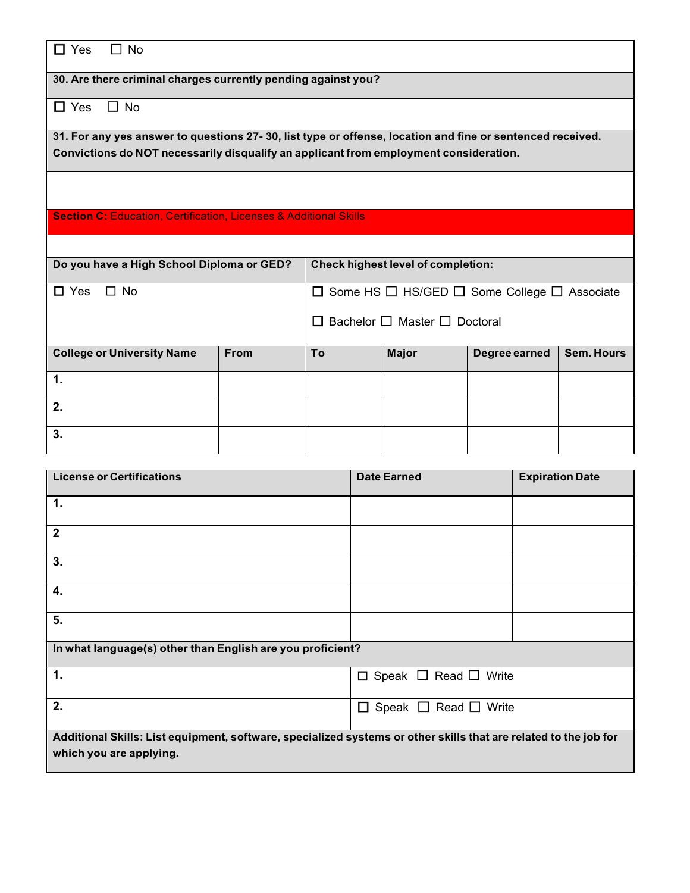| $\Box$ Yes<br>$\Box$ No                                                                                                                                                                            |                                                                                        |                                                                   |              |               |                   |  |
|----------------------------------------------------------------------------------------------------------------------------------------------------------------------------------------------------|----------------------------------------------------------------------------------------|-------------------------------------------------------------------|--------------|---------------|-------------------|--|
| 30. Are there criminal charges currently pending against you?                                                                                                                                      |                                                                                        |                                                                   |              |               |                   |  |
| $\Box$ No<br>$\Box$ Yes                                                                                                                                                                            |                                                                                        |                                                                   |              |               |                   |  |
| 31. For any yes answer to questions 27-30, list type or offense, location and fine or sentenced received.<br>Convictions do NOT necessarily disqualify an applicant from employment consideration. |                                                                                        |                                                                   |              |               |                   |  |
|                                                                                                                                                                                                    |                                                                                        |                                                                   |              |               |                   |  |
| <b>Section C: Education, Certification, Licenses &amp; Additional Skills</b>                                                                                                                       |                                                                                        |                                                                   |              |               |                   |  |
|                                                                                                                                                                                                    |                                                                                        |                                                                   |              |               |                   |  |
|                                                                                                                                                                                                    | Do you have a High School Diploma or GED?<br><b>Check highest level of completion:</b> |                                                                   |              |               |                   |  |
| $\Box$ No<br>$\Box$ Yes                                                                                                                                                                            |                                                                                        | $\Box$ Some HS $\Box$ HS/GED $\Box$ Some College $\Box$ Associate |              |               |                   |  |
|                                                                                                                                                                                                    | $\Box$ Bachelor $\Box$ Master $\Box$ Doctoral                                          |                                                                   |              |               |                   |  |
| <b>College or University Name</b>                                                                                                                                                                  | <b>From</b>                                                                            | To                                                                | <b>Major</b> | Degree earned | <b>Sem. Hours</b> |  |
| $\mathbf 1$                                                                                                                                                                                        |                                                                                        |                                                                   |              |               |                   |  |
| 2.                                                                                                                                                                                                 |                                                                                        |                                                                   |              |               |                   |  |
| 3.                                                                                                                                                                                                 |                                                                                        |                                                                   |              |               |                   |  |

| <b>License or Certifications</b>                                                                                                            | <b>Date Earned</b>                    | <b>Expiration Date</b> |  |  |  |  |
|---------------------------------------------------------------------------------------------------------------------------------------------|---------------------------------------|------------------------|--|--|--|--|
| $\mathbf 1$ .                                                                                                                               |                                       |                        |  |  |  |  |
| $\overline{2}$                                                                                                                              |                                       |                        |  |  |  |  |
| 3.                                                                                                                                          |                                       |                        |  |  |  |  |
| 4.                                                                                                                                          |                                       |                        |  |  |  |  |
| 5.                                                                                                                                          |                                       |                        |  |  |  |  |
| In what language(s) other than English are you proficient?                                                                                  |                                       |                        |  |  |  |  |
| $\mathbf 1$ .                                                                                                                               | $\Box$ Speak $\Box$ Read $\Box$ Write |                        |  |  |  |  |
| 2.                                                                                                                                          | $\Box$ Speak $\Box$ Read $\Box$ Write |                        |  |  |  |  |
| Additional Skills: List equipment, software, specialized systems or other skills that are related to the job for<br>which you are applying. |                                       |                        |  |  |  |  |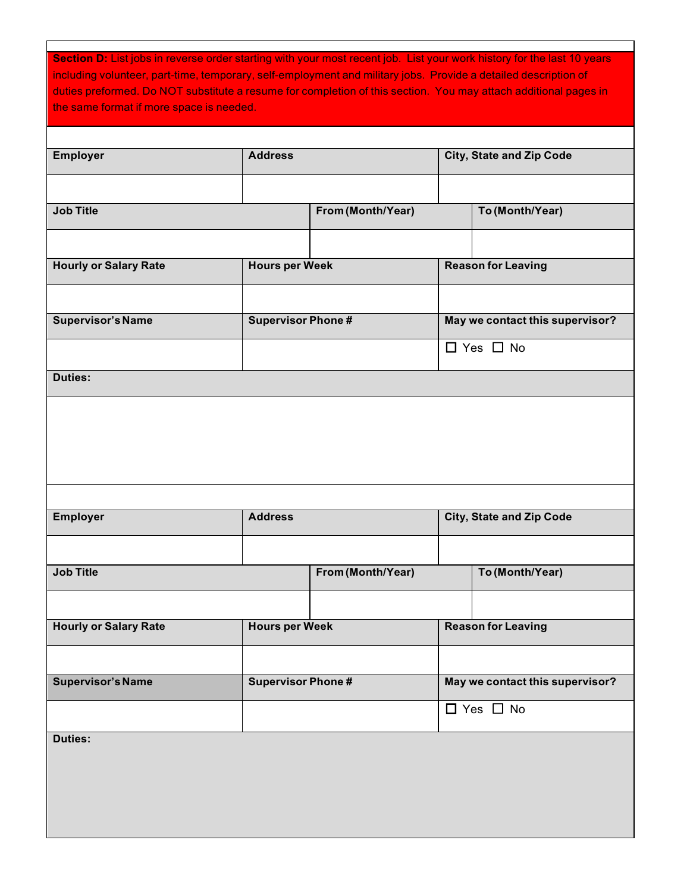| Section D: List jobs in reverse order starting with your most recent job. List your work history for the last 10 years<br>including volunteer, part-time, temporary, self-employment and military jobs. Provide a detailed description of<br>duties preformed. Do NOT substitute a resume for completion of this section. You may attach additional pages in<br>the same format if more space is needed. |                          |                   |                                 |
|----------------------------------------------------------------------------------------------------------------------------------------------------------------------------------------------------------------------------------------------------------------------------------------------------------------------------------------------------------------------------------------------------------|--------------------------|-------------------|---------------------------------|
| <b>Employer</b>                                                                                                                                                                                                                                                                                                                                                                                          | <b>Address</b>           |                   | <b>City, State and Zip Code</b> |
|                                                                                                                                                                                                                                                                                                                                                                                                          |                          |                   |                                 |
| <b>Job Title</b>                                                                                                                                                                                                                                                                                                                                                                                         |                          | From (Month/Year) | To (Month/Year)                 |
|                                                                                                                                                                                                                                                                                                                                                                                                          |                          |                   |                                 |
| <b>Hourly or Salary Rate</b>                                                                                                                                                                                                                                                                                                                                                                             | <b>Hours per Week</b>    |                   | <b>Reason for Leaving</b>       |
|                                                                                                                                                                                                                                                                                                                                                                                                          |                          |                   |                                 |
| <b>Supervisor's Name</b>                                                                                                                                                                                                                                                                                                                                                                                 | <b>Supervisor Phone#</b> |                   | May we contact this supervisor? |
|                                                                                                                                                                                                                                                                                                                                                                                                          |                          |                   | $\Box$ Yes $\Box$ No            |
| <b>Duties:</b>                                                                                                                                                                                                                                                                                                                                                                                           |                          |                   |                                 |
|                                                                                                                                                                                                                                                                                                                                                                                                          |                          |                   |                                 |
|                                                                                                                                                                                                                                                                                                                                                                                                          |                          |                   |                                 |
| <b>Employer</b>                                                                                                                                                                                                                                                                                                                                                                                          | <b>Address</b>           |                   | <b>City, State and Zip Code</b> |
|                                                                                                                                                                                                                                                                                                                                                                                                          |                          |                   |                                 |
| <b>Job Title</b>                                                                                                                                                                                                                                                                                                                                                                                         |                          | From (Month/Year) | To (Month/Year)                 |
|                                                                                                                                                                                                                                                                                                                                                                                                          |                          |                   |                                 |
| <b>Hourly or Salary Rate</b>                                                                                                                                                                                                                                                                                                                                                                             | <b>Hours per Week</b>    |                   | <b>Reason for Leaving</b>       |
|                                                                                                                                                                                                                                                                                                                                                                                                          |                          |                   |                                 |
| <b>Supervisor's Name</b>                                                                                                                                                                                                                                                                                                                                                                                 | <b>Supervisor Phone#</b> |                   | May we contact this supervisor? |
|                                                                                                                                                                                                                                                                                                                                                                                                          |                          |                   | $\Box$ Yes $\Box$ No            |
| <b>Duties:</b>                                                                                                                                                                                                                                                                                                                                                                                           |                          |                   |                                 |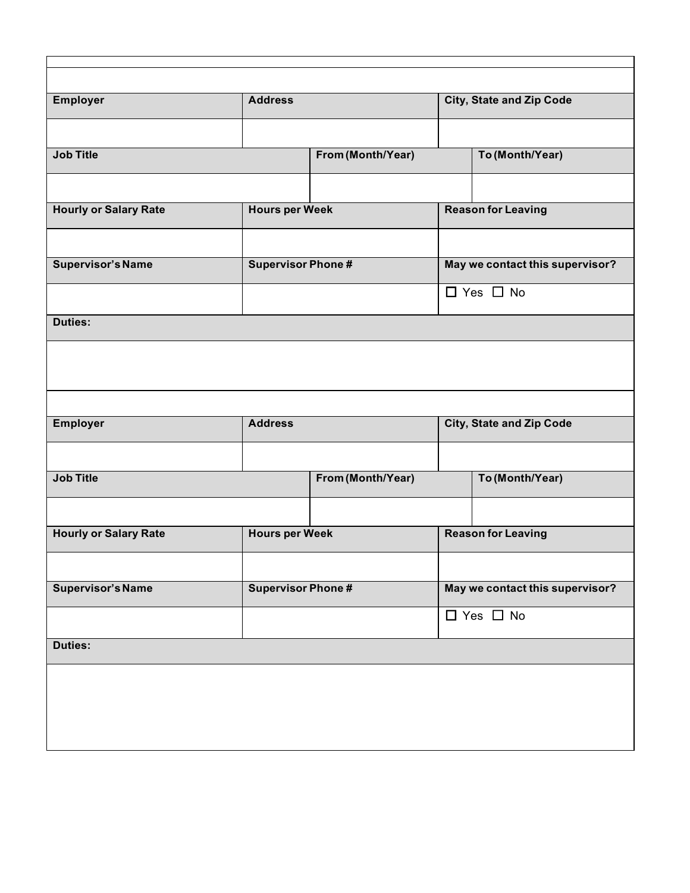| <b>Address</b>            |                   |                                                                        | <b>City, State and Zip Code</b> |  |
|---------------------------|-------------------|------------------------------------------------------------------------|---------------------------------|--|
|                           |                   |                                                                        |                                 |  |
|                           | From (Month/Year) |                                                                        | To (Month/Year)                 |  |
|                           |                   |                                                                        |                                 |  |
| <b>Hours per Week</b>     |                   | <b>Reason for Leaving</b>                                              |                                 |  |
|                           |                   |                                                                        |                                 |  |
| <b>Supervisor Phone #</b> |                   |                                                                        | May we contact this supervisor? |  |
|                           |                   |                                                                        | $\Box$ Yes $\Box$ No            |  |
|                           |                   |                                                                        |                                 |  |
|                           |                   |                                                                        |                                 |  |
|                           |                   |                                                                        |                                 |  |
|                           |                   |                                                                        |                                 |  |
| <b>Address</b>            |                   | <b>City, State and Zip Code</b>                                        |                                 |  |
|                           |                   |                                                                        |                                 |  |
|                           |                   |                                                                        | To (Month/Year)                 |  |
|                           |                   |                                                                        |                                 |  |
|                           |                   | <b>Reason for Leaving</b>                                              |                                 |  |
|                           |                   |                                                                        |                                 |  |
|                           |                   | May we contact this supervisor?                                        |                                 |  |
|                           |                   |                                                                        | $\Box$ Yes $\Box$ No            |  |
|                           |                   |                                                                        |                                 |  |
|                           |                   |                                                                        |                                 |  |
|                           |                   |                                                                        |                                 |  |
|                           |                   |                                                                        |                                 |  |
|                           |                   | From (Month/Year)<br><b>Hours per Week</b><br><b>Supervisor Phone#</b> |                                 |  |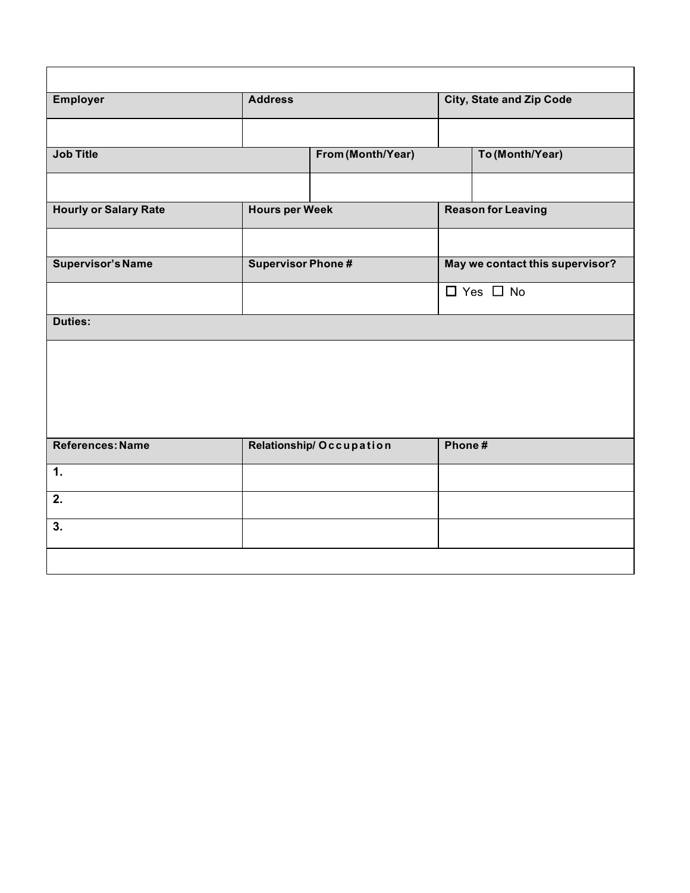| <b>Employer</b>              | <b>Address</b>          |                          |        | <b>City, State and Zip Code</b> |  |  |
|------------------------------|-------------------------|--------------------------|--------|---------------------------------|--|--|
|                              |                         |                          |        |                                 |  |  |
| <b>Job Title</b>             |                         | From (Month/Year)        |        | To (Month/Year)                 |  |  |
|                              |                         |                          |        |                                 |  |  |
| <b>Hourly or Salary Rate</b> | <b>Hours per Week</b>   |                          |        | <b>Reason for Leaving</b>       |  |  |
|                              |                         |                          |        |                                 |  |  |
| <b>Supervisor's Name</b>     |                         | <b>Supervisor Phone#</b> |        | May we contact this supervisor? |  |  |
|                              |                         |                          |        | $\Box$ Yes $\Box$ No            |  |  |
| <b>Duties:</b>               |                         |                          |        |                                 |  |  |
|                              |                         |                          |        |                                 |  |  |
|                              |                         |                          |        |                                 |  |  |
|                              |                         |                          |        |                                 |  |  |
|                              |                         |                          |        |                                 |  |  |
|                              | Relationship/Occupation |                          | Phone# |                                 |  |  |
| References: Name             |                         |                          |        |                                 |  |  |
|                              |                         |                          |        |                                 |  |  |
| 1.<br>2.                     |                         |                          |        |                                 |  |  |

<u> 1989 - Johann Barn, mars ann an t-Amhain Aonaich an t-Aonaich an t-Aonaich ann an t-Aonaich ann an t-Aonaich</u>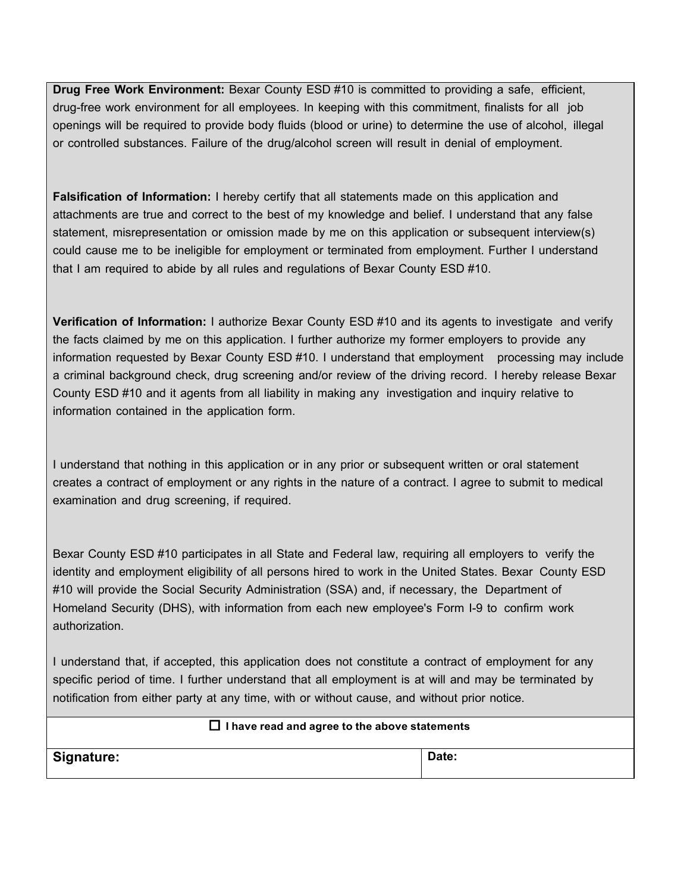**Drug Free Work Environment:** Bexar County ESD #10 is committed to providing a safe, efficient, drug-free work environment for all employees. In keeping with this commitment, finalists for all job openings will be required to provide body fluids (blood or urine) to determine the use of alcohol, illegal or controlled substances. Failure of the drug/alcohol screen will result in denial of employment.

**Falsification of Information:** I hereby certify that all statements made on this application and attachments are true and correct to the best of my knowledge and belief. I understand that any false statement, misrepresentation or omission made by me on this application or subsequent interview(s) could cause me to be ineligible for employment or terminated from employment. Further I understand that I am required to abide by all rules and regulations of Bexar County ESD #10.

**Verification of Information:** I authorize Bexar County ESD #10 and its agents to investigate and verify the facts claimed by me on this application. I further authorize my former employers to provide any information requested by Bexar County ESD #10. I understand that employment processing may include a criminal background check, drug screening and/or review of the driving record. I hereby release Bexar County ESD #10 and it agents from all liability in making any investigation and inquiry relative to information contained in the application form.

I understand that nothing in this application or in any prior or subsequent written or oral statement creates a contract of employment or any rights in the nature of a contract. I agree to submit to medical examination and drug screening, if required.

Bexar County ESD #10 participates in all State and Federal law, requiring all employers to verify the identity and employment eligibility of all persons hired to work in the United States. Bexar County ESD #10 will provide the Social Security Administration (SSA) and, if necessary, the Department of Homeland Security (DHS), with information from each new employee's Form I-9 to confirm work authorization.

I understand that, if accepted, this application does not constitute a contract of employment for any specific period of time. I further understand that all employment is at will and may be terminated by notification from either party at any time, with or without cause, and without prior notice.

#### □ **I have read and agree to the above statements**

Signature: **Date: Date: Date: Date: Date: Date: Date: Date: Date: Date: Date: Date: Date: Date: Date: Date: Date: Date: Date: Date: Date: Date: Date: Date: Date: Date: Da**